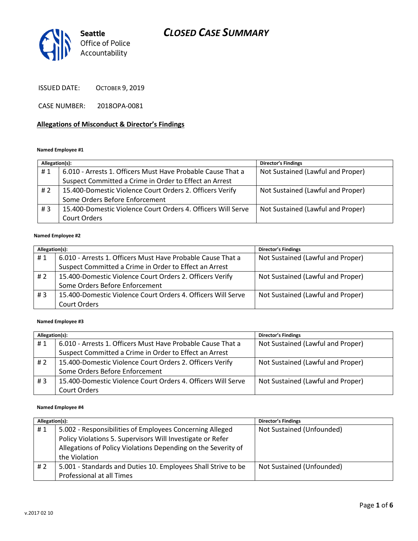

ISSUED DATE: OCTOBER 9, 2019

CASE NUMBER: 2018OPA-0081

#### **Allegations of Misconduct & Director's Findings**

#### **Named Employee #1**

| Allegation(s): |                                                              | <b>Director's Findings</b>        |
|----------------|--------------------------------------------------------------|-----------------------------------|
| #1             | 6.010 - Arrests 1. Officers Must Have Probable Cause That a  | Not Sustained (Lawful and Proper) |
|                | Suspect Committed a Crime in Order to Effect an Arrest       |                                   |
| # 2            | 15.400-Domestic Violence Court Orders 2. Officers Verify     | Not Sustained (Lawful and Proper) |
|                | Some Orders Before Enforcement                               |                                   |
| #3             | 15.400-Domestic Violence Court Orders 4. Officers Will Serve | Not Sustained (Lawful and Proper) |
|                | Court Orders                                                 |                                   |

#### **Named Employee #2**

| Allegation(s): |                                                              | <b>Director's Findings</b>        |
|----------------|--------------------------------------------------------------|-----------------------------------|
| #1             | 6.010 - Arrests 1. Officers Must Have Probable Cause That a  | Not Sustained (Lawful and Proper) |
|                | Suspect Committed a Crime in Order to Effect an Arrest       |                                   |
| #2             | 15.400-Domestic Violence Court Orders 2. Officers Verify     | Not Sustained (Lawful and Proper) |
|                | Some Orders Before Enforcement                               |                                   |
| #3             | 15.400-Domestic Violence Court Orders 4. Officers Will Serve | Not Sustained (Lawful and Proper) |
|                | Court Orders                                                 |                                   |

#### **Named Employee #3**

| Allegation(s): |                                                              | <b>Director's Findings</b>        |
|----------------|--------------------------------------------------------------|-----------------------------------|
| #1             | 6.010 - Arrests 1. Officers Must Have Probable Cause That a  | Not Sustained (Lawful and Proper) |
|                | Suspect Committed a Crime in Order to Effect an Arrest       |                                   |
| #2             | 15.400-Domestic Violence Court Orders 2. Officers Verify     | Not Sustained (Lawful and Proper) |
|                | Some Orders Before Enforcement                               |                                   |
| #3             | 15.400-Domestic Violence Court Orders 4. Officers Will Serve | Not Sustained (Lawful and Proper) |
|                | Court Orders                                                 |                                   |

#### **Named Employee #4**

| Allegation(s): |                                                               | <b>Director's Findings</b> |
|----------------|---------------------------------------------------------------|----------------------------|
| #1             | 5.002 - Responsibilities of Employees Concerning Alleged      | Not Sustained (Unfounded)  |
|                | Policy Violations 5. Supervisors Will Investigate or Refer    |                            |
|                | Allegations of Policy Violations Depending on the Severity of |                            |
|                | the Violation                                                 |                            |
| # $2$          | 5.001 - Standards and Duties 10. Employees Shall Strive to be | Not Sustained (Unfounded)  |
|                | Professional at all Times                                     |                            |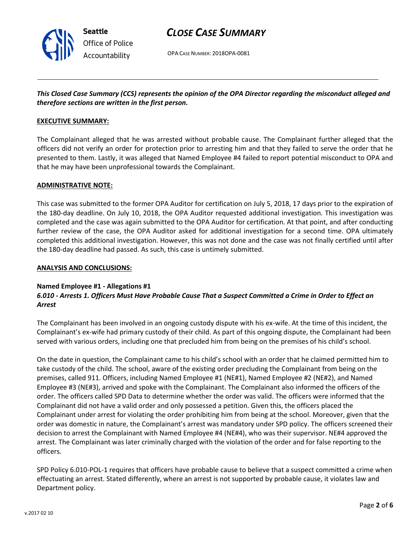

OPA CASE NUMBER: 2018OPA-0081

### *This Closed Case Summary (CCS) represents the opinion of the OPA Director regarding the misconduct alleged and therefore sections are written in the first person.*

#### **EXECUTIVE SUMMARY:**

The Complainant alleged that he was arrested without probable cause. The Complainant further alleged that the officers did not verify an order for protection prior to arresting him and that they failed to serve the order that he presented to them. Lastly, it was alleged that Named Employee #4 failed to report potential misconduct to OPA and that he may have been unprofessional towards the Complainant.

#### **ADMINISTRATIVE NOTE:**

This case was submitted to the former OPA Auditor for certification on July 5, 2018, 17 days prior to the expiration of the 180-day deadline. On July 10, 2018, the OPA Auditor requested additional investigation. This investigation was completed and the case was again submitted to the OPA Auditor for certification. At that point, and after conducting further review of the case, the OPA Auditor asked for additional investigation for a second time. OPA ultimately completed this additional investigation. However, this was not done and the case was not finally certified until after the 180-day deadline had passed. As such, this case is untimely submitted.

#### **ANALYSIS AND CONCLUSIONS:**

#### **Named Employee #1 - Allegations #1**

### *6.010 - Arrests 1. Officers Must Have Probable Cause That a Suspect Committed a Crime in Order to Effect an Arrest*

The Complainant has been involved in an ongoing custody dispute with his ex-wife. At the time of this incident, the Complainant's ex-wife had primary custody of their child. As part of this ongoing dispute, the Complainant had been served with various orders, including one that precluded him from being on the premises of his child's school.

On the date in question, the Complainant came to his child's school with an order that he claimed permitted him to take custody of the child. The school, aware of the existing order precluding the Complainant from being on the premises, called 911. Officers, including Named Employee #1 (NE#1), Named Employee #2 (NE#2), and Named Employee #3 (NE#3), arrived and spoke with the Complainant. The Complainant also informed the officers of the order. The officers called SPD Data to determine whether the order was valid. The officers were informed that the Complainant did not have a valid order and only possessed a petition. Given this, the officers placed the Complainant under arrest for violating the order prohibiting him from being at the school. Moreover, given that the order was domestic in nature, the Complainant's arrest was mandatory under SPD policy. The officers screened their decision to arrest the Complainant with Named Employee #4 (NE#4), who was their supervisor. NE#4 approved the arrest. The Complainant was later criminally charged with the violation of the order and for false reporting to the officers.

SPD Policy 6.010-POL-1 requires that officers have probable cause to believe that a suspect committed a crime when effectuating an arrest. Stated differently, where an arrest is not supported by probable cause, it violates law and Department policy.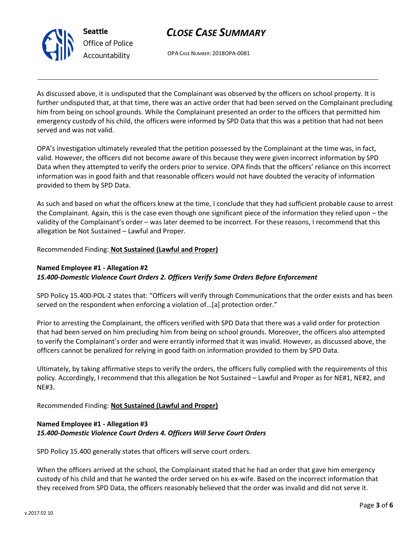

OPA CASE NUMBER: 2018OPA-0081

As discussed above, it is undisputed that the Complainant was observed by the officers on school property. It is further undisputed that, at that time, there was an active order that had been served on the Complainant precluding him from being on school grounds. While the Complainant presented an order to the officers that permitted him emergency custody of his child, the officers were informed by SPD Data that this was a petition that had not been served and was not valid.

OPA's investigation ultimately revealed that the petition possessed by the Complainant at the time was, in fact, valid. However, the officers did not become aware of this because they were given incorrect information by SPD Data when they attempted to verify the orders prior to service. OPA finds that the officers' reliance on this incorrect information was in good faith and that reasonable officers would not have doubted the veracity of information provided to them by SPD Data.

As such and based on what the officers knew at the time, I conclude that they had sufficient probable cause to arrest the Complainant. Again, this is the case even though one significant piece of the information they relied upon – the validity of the Complainant's order – was later deemed to be incorrect. For these reasons, I recommend that this allegation be Not Sustained – Lawful and Proper.

Recommended Finding: **Not Sustained (Lawful and Proper)**

**Seattle**

*Office of Police Accountability*

## **Named Employee #1 - Allegation #2** *15.400-Domestic Violence Court Orders 2. Officers Verify Some Orders Before Enforcement*

SPD Policy 15.400-POL-2 states that: "Officers will verify through Communications that the order exists and has been served on the respondent when enforcing a violation of…[a] protection order."

Prior to arresting the Complainant, the officers verified with SPD Data that there was a valid order for protection that had been served on him precluding him from being on school grounds. Moreover, the officers also attempted to verify the Complainant's order and were errantly informed that it was invalid. However, as discussed above, the officers cannot be penalized for relying in good faith on information provided to them by SPD Data.

Ultimately, by taking affirmative steps to verify the orders, the officers fully complied with the requirements of this policy. Accordingly, I recommend that this allegation be Not Sustained – Lawful and Proper as for NE#1, NE#2, and NE#3.

Recommended Finding: **Not Sustained (Lawful and Proper)**

## **Named Employee #1 - Allegation #3** *15.400-Domestic Violence Court Orders 4. Officers Will Serve Court Orders*

SPD Policy 15.400 generally states that officers will serve court orders.

When the officers arrived at the school, the Complainant stated that he had an order that gave him emergency custody of his child and that he wanted the order served on his ex-wife. Based on the incorrect information that they received from SPD Data, the officers reasonably believed that the order was invalid and did not serve it.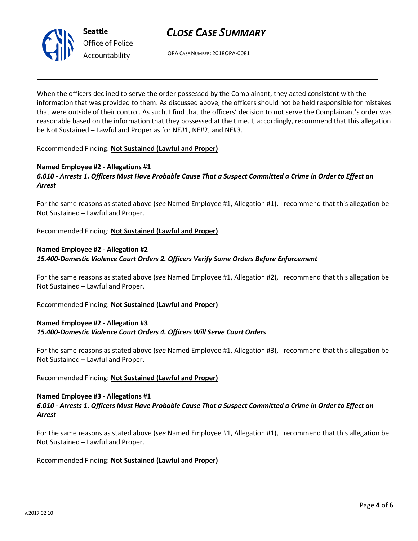

*Office of Police Accountability*

OPA CASE NUMBER: 2018OPA-0081

When the officers declined to serve the order possessed by the Complainant, they acted consistent with the information that was provided to them. As discussed above, the officers should not be held responsible for mistakes that were outside of their control. As such, I find that the officers' decision to not serve the Complainant's order was reasonable based on the information that they possessed at the time. I, accordingly, recommend that this allegation be Not Sustained – Lawful and Proper as for NE#1, NE#2, and NE#3.

Recommended Finding: **Not Sustained (Lawful and Proper)**

## **Named Employee #2 - Allegations #1**

## *6.010 - Arrests 1. Officers Must Have Probable Cause That a Suspect Committed a Crime in Order to Effect an Arrest*

For the same reasons as stated above (*see* Named Employee #1, Allegation #1), I recommend that this allegation be Not Sustained – Lawful and Proper.

Recommended Finding: **Not Sustained (Lawful and Proper)**

### **Named Employee #2 - Allegation #2** *15.400-Domestic Violence Court Orders 2. Officers Verify Some Orders Before Enforcement*

For the same reasons as stated above (*see* Named Employee #1, Allegation #2), I recommend that this allegation be Not Sustained – Lawful and Proper.

Recommended Finding: **Not Sustained (Lawful and Proper)**

## **Named Employee #2 - Allegation #3** *15.400-Domestic Violence Court Orders 4. Officers Will Serve Court Orders*

For the same reasons as stated above (*see* Named Employee #1, Allegation #3), I recommend that this allegation be Not Sustained – Lawful and Proper.

### Recommended Finding: **Not Sustained (Lawful and Proper)**

#### **Named Employee #3 - Allegations #1** *6.010 - Arrests 1. Officers Must Have Probable Cause That a Suspect Committed a Crime in Order to Effect an Arrest*

For the same reasons as stated above (*see* Named Employee #1, Allegation #1), I recommend that this allegation be Not Sustained – Lawful and Proper.

Recommended Finding: **Not Sustained (Lawful and Proper)**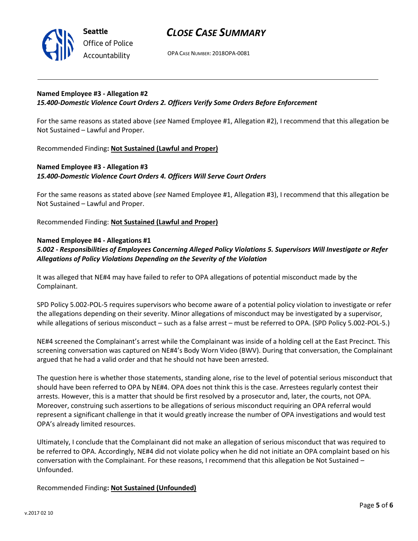

OPA CASE NUMBER: 2018OPA-0081

#### **Named Employee #3 - Allegation #2** *15.400-Domestic Violence Court Orders 2. Officers Verify Some Orders Before Enforcement*

For the same reasons as stated above (*see* Named Employee #1, Allegation #2), I recommend that this allegation be Not Sustained – Lawful and Proper.

Recommended Finding**: Not Sustained (Lawful and Proper)**

## **Named Employee #3 - Allegation #3** *15.400-Domestic Violence Court Orders 4. Officers Will Serve Court Orders*

For the same reasons as stated above (*see* Named Employee #1, Allegation #3), I recommend that this allegation be Not Sustained – Lawful and Proper.

Recommended Finding: **Not Sustained (Lawful and Proper)**

#### **Named Employee #4 - Allegations #1**

*5.002 - Responsibilities of Employees Concerning Alleged Policy Violations 5. Supervisors Will Investigate or Refer Allegations of Policy Violations Depending on the Severity of the Violation*

It was alleged that NE#4 may have failed to refer to OPA allegations of potential misconduct made by the Complainant.

SPD Policy 5.002-POL-5 requires supervisors who become aware of a potential policy violation to investigate or refer the allegations depending on their severity. Minor allegations of misconduct may be investigated by a supervisor, while allegations of serious misconduct – such as a false arrest – must be referred to OPA. (SPD Policy 5.002-POL-5.)

NE#4 screened the Complainant's arrest while the Complainant was inside of a holding cell at the East Precinct. This screening conversation was captured on NE#4's Body Worn Video (BWV). During that conversation, the Complainant argued that he had a valid order and that he should not have been arrested.

The question here is whether those statements, standing alone, rise to the level of potential serious misconduct that should have been referred to OPA by NE#4. OPA does not think this is the case. Arrestees regularly contest their arrests. However, this is a matter that should be first resolved by a prosecutor and, later, the courts, not OPA. Moreover, construing such assertions to be allegations of serious misconduct requiring an OPA referral would represent a significant challenge in that it would greatly increase the number of OPA investigations and would test OPA's already limited resources.

Ultimately, I conclude that the Complainant did not make an allegation of serious misconduct that was required to be referred to OPA. Accordingly, NE#4 did not violate policy when he did not initiate an OPA complaint based on his conversation with the Complainant. For these reasons, I recommend that this allegation be Not Sustained – Unfounded.

Recommended Finding**: Not Sustained (Unfounded)**